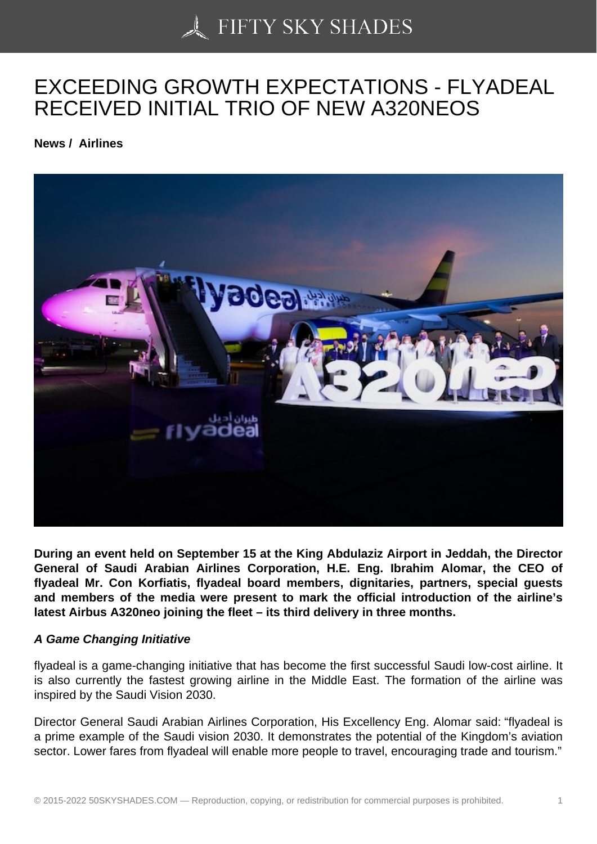# [EXCEEDING GROWT](https://50skyshades.com)H EXPECTATIONS - FLYADEAL RECEIVED INITIAL TRIO OF NEW A320NEOS

News / Airlines

During an event held on September 15 at the King Abdulaziz Airport in Jeddah, the Director General of Saudi Arabian Airlines Corporation, H.E. Eng. Ibrahim Alomar, the CEO of flyadeal Mr. Con Korfiatis, flyadeal board members, dignitaries, partners, special guests and members of the media were present to mark the official introduction of the airline's latest Airbus A320neo joining the fleet – its third delivery in three months.

#### A Game Changing Initiative

flyadeal is a game-changing initiative that has become the first successful Saudi low-cost airline. It is also currently the fastest growing airline in the Middle East. The formation of the airline was inspired by the Saudi Vision 2030.

Director General Saudi Arabian Airlines Corporation, His Excellency Eng. Alomar said: "flyadeal is a prime example of the Saudi vision 2030. It demonstrates the potential of the Kingdom's aviation sector. Lower fares from flyadeal will enable more people to travel, encouraging trade and tourism."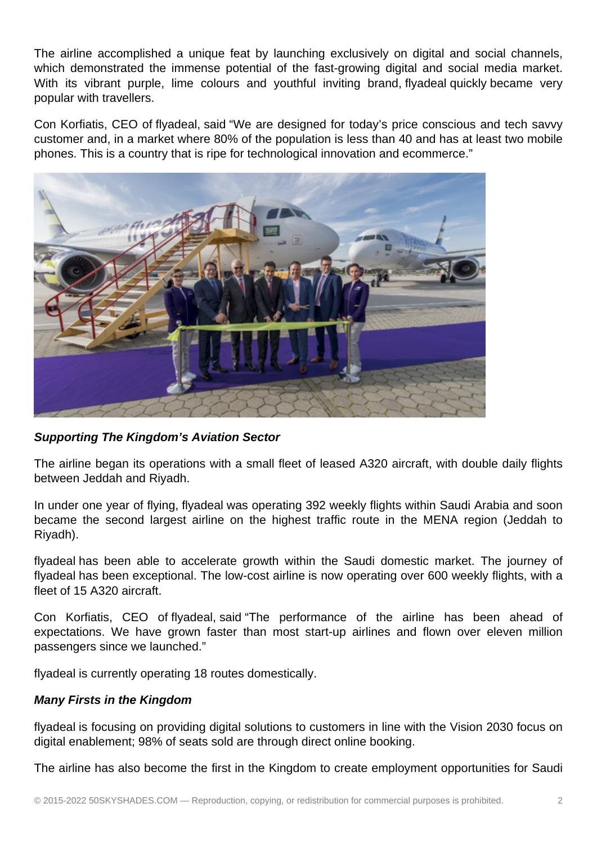The airline accomplished a unique feat by launching exclusively on digital and social channels, which demonstrated the immense potential of the fast-growing digital and social media market. With its vibrant purple, lime colours and youthful inviting brand, flyadeal quickly became very popular with travellers.

Con Korfiatis, CEO of flyadeal, said "We are designed for today's price conscious and tech savvy customer and, in a market where 80% of the population is less than 40 and has at least two mobile phones. This is a country that is ripe for technological innovation and ecommerce."



## **Supporting The Kingdom's Aviation Sector**

The airline began its operations with a small fleet of leased A320 aircraft, with double daily flights between Jeddah and Riyadh.

In under one year of flying, flyadeal was operating 392 weekly flights within Saudi Arabia and soon became the second largest airline on the highest traffic route in the MENA region (Jeddah to Riyadh).

flyadeal has been able to accelerate growth within the Saudi domestic market. The journey of flyadeal has been exceptional. The low-cost airline is now operating over 600 weekly flights, with a fleet of 15 A320 aircraft.

Con Korfiatis, CEO of flyadeal, said "The performance of the airline has been ahead of expectations. We have grown faster than most start-up airlines and flown over eleven million passengers since we launched."

flyadeal is currently operating 18 routes domestically.

## **Many Firsts in the Kingdom**

flyadeal is focusing on providing digital solutions to customers in line with the Vision 2030 focus on digital enablement; 98% of seats sold are through direct online booking.

The airline has also become the first in the Kingdom to create employment opportunities for Saudi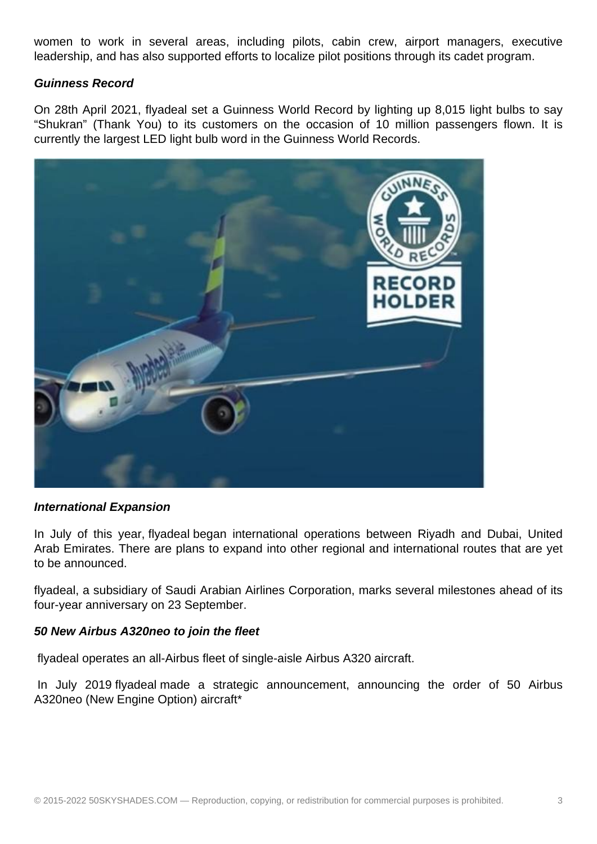women to work in several areas, including pilots, cabin crew, airport managers, executive leadership, and has also supported efforts to localize pilot positions through its cadet program.

#### **Guinness Record**

On 28th April 2021, flyadeal set a Guinness World Record by lighting up 8,015 light bulbs to say "Shukran" (Thank You) to its customers on the occasion of 10 million passengers flown. It is currently the largest LED light bulb word in the Guinness World Records.



#### **International Expansion**

In July of this year, flyadeal began international operations between Riyadh and Dubai, United Arab Emirates. There are plans to expand into other regional and international routes that are yet to be announced.

flyadeal, a subsidiary of Saudi Arabian Airlines Corporation, marks several milestones ahead of its four-year anniversary on 23 September.

## **50 New Airbus A320neo to join the fleet**

flyadeal operates an all-Airbus fleet of single-aisle Airbus A320 aircraft.

 In July 2019 flyadeal made a strategic announcement, announcing the order of 50 Airbus A320neo (New Engine Option) aircraft\*